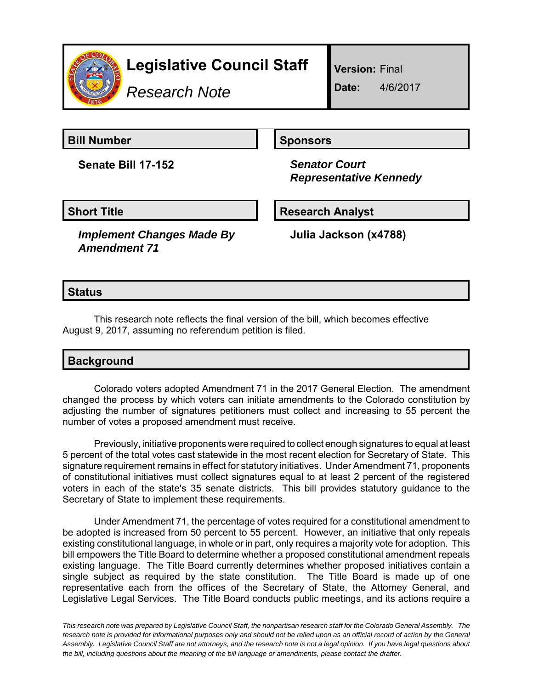

# **Legislative Council Staff**

*Research Note*

**Version:** Final

**Date:** 4/6/2017

**Bill Number Sponsors** 

**Senate Bill 17-152** *Senator Court*

 *Representative Kennedy*

**Short Title Community Community Community Research Analyst** 

*Implement Changes Made By Amendment 71*

**Julia Jackson (x4788)**

## **Status**

This research note reflects the final version of the bill, which becomes effective August 9, 2017, assuming no referendum petition is filed.

## **Background**

Colorado voters adopted Amendment 71 in the 2017 General Election. The amendment changed the process by which voters can initiate amendments to the Colorado constitution by adjusting the number of signatures petitioners must collect and increasing to 55 percent the number of votes a proposed amendment must receive.

Previously, initiative proponents were required to collect enough signatures to equal at least 5 percent of the total votes cast statewide in the most recent election for Secretary of State. This signature requirement remains in effect for statutory initiatives. Under Amendment 71, proponents of constitutional initiatives must collect signatures equal to at least 2 percent of the registered voters in each of the state's 35 senate districts. This bill provides statutory guidance to the Secretary of State to implement these requirements.

Under Amendment 71, the percentage of votes required for a constitutional amendment to be adopted is increased from 50 percent to 55 percent. However, an initiative that only repeals existing constitutional language, in whole or in part, only requires a majority vote for adoption. This bill empowers the Title Board to determine whether a proposed constitutional amendment repeals existing language. The Title Board currently determines whether proposed initiatives contain a single subject as required by the state constitution. The Title Board is made up of one representative each from the offices of the Secretary of State, the Attorney General, and Legislative Legal Services. The Title Board conducts public meetings, and its actions require a

*This research note was prepared by Legislative Council Staff, the nonpartisan research staff for the Colorado General Assembly. The research note is provided for informational purposes only and should not be relied upon as an official record of action by the General Assembly. Legislative Council Staff are not attorneys, and the research note is not a legal opinion. If you have legal questions about the bill, including questions about the meaning of the bill language or amendments, please contact the drafter.*